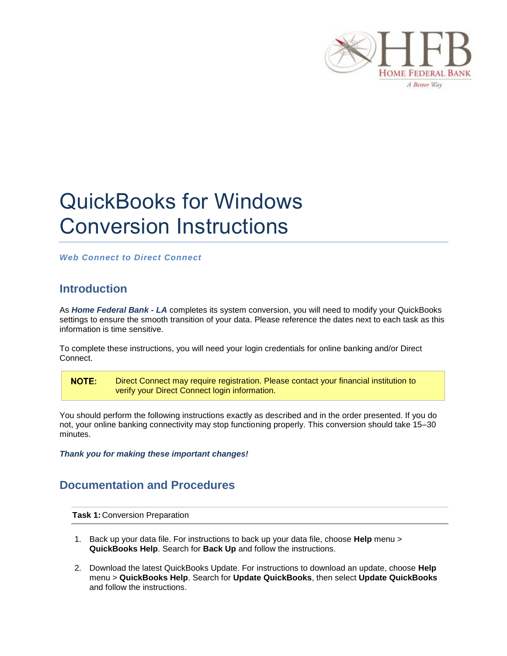

## QuickBooks for Windows Conversion Instructions

*Web Connect to Direct Connect*

## **Introduction**

As *Home Federal Bank - LA* completes its system conversion, you will need to modify your QuickBooks settings to ensure the smooth transition of your data. Please reference the dates next to each task as this information is time sensitive.

To complete these instructions, you will need your login credentials for online banking and/or Direct Connect.

NOTE: Direct Connect may require registration. Please contact your financial institution to verify your Direct Connect login information.

You should perform the following instructions exactly as described and in the order presented. If you do not, your online banking connectivity may stop functioning properly. This conversion should take 15–30 minutes.

*Thank you for making these important changes!*

## **Documentation and Procedures**

**Task 1:** Conversion Preparation

- 1. Back up your data file. For instructions to back up your data file, choose **Help** menu > **QuickBooks Help**. Search for **Back Up** and follow the instructions.
- 2. Download the latest QuickBooks Update. For instructions to download an update, choose **Help** menu > **QuickBooks Help**. Search for **Update QuickBooks**, then select **Update QuickBooks** and follow the instructions.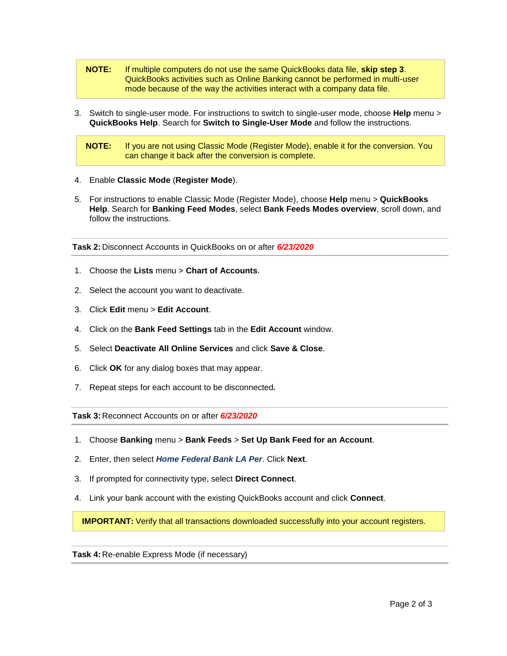- **NOTE:** If multiple computers do not use the same QuickBooks data file, **skip step 3**. QuickBooks activities such as Online Banking cannot be performed in multi-user mode because of the way the activities interact with a company data file.
- 3. Switch to single-user mode. For instructions to switch to single-user mode, choose **Help** menu > **QuickBooks Help**. Search for **Switch to Single-User Mode** and follow the instructions.

**NOTE:** If you are not using Classic Mode (Register Mode), enable it for the conversion. You can change it back after the conversion is complete.

- 4. Enable **Classic Mode** (**Register Mode**).
- 5. For instructions to enable Classic Mode (Register Mode), choose **Help** menu > **QuickBooks Help**. Search for **Banking Feed Modes**, select **Bank Feeds Modes overview**, scroll down, and follow the instructions.

**Task 2:** Disconnect Accounts in QuickBooks on or after *6/23/2020*

- 1. Choose the **Lists** menu > **Chart of Accounts**.
- 2. Select the account you want to deactivate.
- 3. Click **Edit** menu > **Edit Account**.
- 4. Click on the **Bank Feed Settings** tab in the **Edit Account** window.
- 5. Select **Deactivate All Online Services** and click **Save & Close**.
- 6. Click **OK** for any dialog boxes that may appear.
- 7. Repeat steps for each account to be disconnected*.*

**Task 3:** Reconnect Accounts on or after *6/23/2020*

- 1. Choose **Banking** menu > **Bank Feeds** > **Set Up Bank Feed for an Account**.
- 2. Enter, then select *Home Federal Bank LA Per*. Click **Next**.
- 3. If prompted for connectivity type, select **Direct Connect**.
- 4. Link your bank account with the existing QuickBooks account and click **Connect**.

**IMPORTANT:** Verify that all transactions downloaded successfully into your account registers.

**Task 4:** Re-enable Express Mode (if necessary)